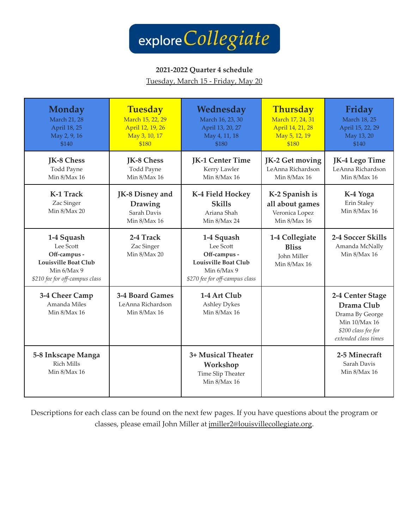

#### **2021-2022 Quarter 4 schedule**

Tuesday, March 15 - Friday, May 20

| Monday<br><b>March 21, 28</b><br>April 18, 25<br>May 2, 9, 16<br>\$140                                                  | <b>Tuesday</b><br>March 15, 22, 29<br>April 12, 19, 26<br>May 3, 10, 17<br>\$180 | Wednesday<br>March 16, 23, 30<br>April 13, 20, 27<br>May 4, 11, 18<br>\$180                                             | Thursday<br>March 17, 24, 31<br>April 14, 21, 28<br>May 5, 12, 19<br>\$180 | Friday<br>March 18, 25<br>April 15, 22, 29<br>May 13, 20<br>\$140                                                 |
|-------------------------------------------------------------------------------------------------------------------------|----------------------------------------------------------------------------------|-------------------------------------------------------------------------------------------------------------------------|----------------------------------------------------------------------------|-------------------------------------------------------------------------------------------------------------------|
| JK-8 Chess<br><b>Todd Payne</b><br>Min 8/Max 16                                                                         | JK-8 Chess<br><b>Todd Payne</b><br>Min 8/Max 16                                  | JK-1 Center Time<br>Kerry Lawler<br>Min 8/Max 16                                                                        | JK-2 Get moving<br>LeAnna Richardson<br>Min 8/Max 16                       | JK-4 Lego Time<br>LeAnna Richardson<br>Min 8/Max 16                                                               |
| <b>K-1 Track</b><br>Zac Singer<br>Min 8/Max 20                                                                          | JK-8 Disney and<br><b>Drawing</b><br>Sarah Davis<br>Min 8/Max 16                 | K-4 Field Hockey<br><b>Skills</b><br>Ariana Shah<br>Min 8/Max 24                                                        | K-2 Spanish is<br>all about games<br>Veronica Lopez<br>Min 8/Max 16        | K-4 Yoga<br>Erin Staley<br>Min 8/Max 16                                                                           |
| 1-4 Squash<br>Lee Scott<br>Off-campus -<br><b>Louisville Boat Club</b><br>Min 6/Max 9<br>\$210 fee for off-campus class | 2-4 Track<br>Zac Singer<br>Min 8/Max 20                                          | 1-4 Squash<br>Lee Scott<br>Off-campus -<br><b>Louisville Boat Club</b><br>Min 6/Max 9<br>\$270 fee for off-campus class | 1-4 Collegiate<br><b>Bliss</b><br>John Miller<br>Min 8/Max 16              | 2-4 Soccer Skills<br>Amanda McNally<br>Min 8/Max 16                                                               |
| 3-4 Cheer Camp<br>Amanda Miles<br>Min 8/Max 16                                                                          | 3-4 Board Games<br>LeAnna Richardson<br>Min 8/Max 16                             | 1-4 Art Club<br>Ashley Dykes<br>Min 8/Max 16                                                                            |                                                                            | 2-4 Center Stage<br>Drama Club<br>Drama By George<br>Min 10/Max 16<br>\$200 class fee for<br>extended class times |
| 5-8 Inkscape Manga<br><b>Rich Mills</b><br>Min 8/Max 16                                                                 |                                                                                  | 3+ Musical Theater<br>Workshop<br>Time Slip Theater<br>Min 8/Max 16                                                     |                                                                            | 2-5 Minecraft<br>Sarah Davis<br>Min 8/Max 16                                                                      |

Descriptions for each class can be found on the next few pages. If you have questions about the program or classes, please email John Miller at [jmiller2@louisvillecollegiate.org](mailto:jmiller2@louisvillecollegiate.org).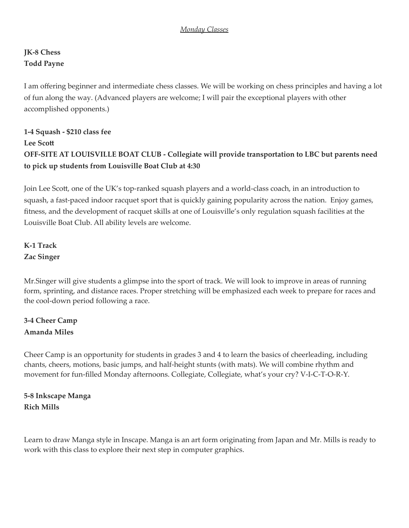#### *Monday Classes*

# **JK-8 Chess Todd Payne**

I am offering beginner and intermediate chess classes. We will be working on chess principles and having a lot of fun along the way. (Advanced players are welcome; I will pair the exceptional players with other accomplished opponents.)

# **1-4 Squash - \$210 class fee Lee Scott OFF-SITE AT LOUISVILLE BOAT CLUB - Collegiate will provide transportation to LBC but parents need to pick up students from Louisville Boat Club at 4:30**

Join Lee Scott, one of the UK's top-ranked squash players and a world-class coach, in an introduction to squash, a fast-paced indoor racquet sport that is quickly gaining popularity across the nation. Enjoy games, fitness, and the development of racquet skills at one of Louisville's only regulation squash facilities at the Louisville Boat Club. All ability levels are welcome.

**K-1 Track Zac Singer**

Mr.Singer will give students a glimpse into the sport of track. We will look to improve in areas of running form, sprinting, and distance races. Proper stretching will be emphasized each week to prepare for races and the cool-down period following a race.

## **3-4 Cheer Camp Amanda Miles**

Cheer Camp is an opportunity for students in grades 3 and 4 to learn the basics of cheerleading, including chants, cheers, motions, basic jumps, and half-height stunts (with mats). We will combine rhythm and movement for fun-filled Monday afternoons. Collegiate, Collegiate, what's your cry? V-I-C-T-O-R-Y.

**5-8 Inkscape Manga Rich Mills**

Learn to draw Manga style in Inscape. Manga is an art form originating from Japan and Mr. Mills is ready to work with this class to explore their next step in computer graphics.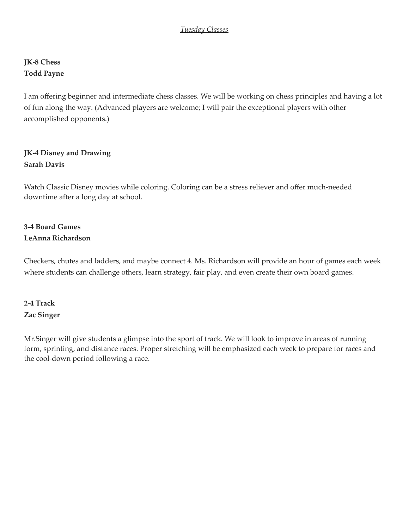#### *Tuesday Classes*

### **JK-8 Chess Todd Payne**

I am offering beginner and intermediate chess classes. We will be working on chess principles and having a lot of fun along the way. (Advanced players are welcome; I will pair the exceptional players with other accomplished opponents.)

#### **JK-4 Disney and Drawing Sarah Davis**

Watch Classic Disney movies while coloring. Coloring can be a stress reliever and offer much-needed downtime after a long day at school.

## **3-4 Board Games LeAnna Richardson**

Checkers, chutes and ladders, and maybe connect 4. Ms. Richardson will provide an hour of games each week where students can challenge others, learn strategy, fair play, and even create their own board games.

## **2-4 Track Zac Singer**

Mr.Singer will give students a glimpse into the sport of track. We will look to improve in areas of running form, sprinting, and distance races. Proper stretching will be emphasized each week to prepare for races and the cool-down period following a race.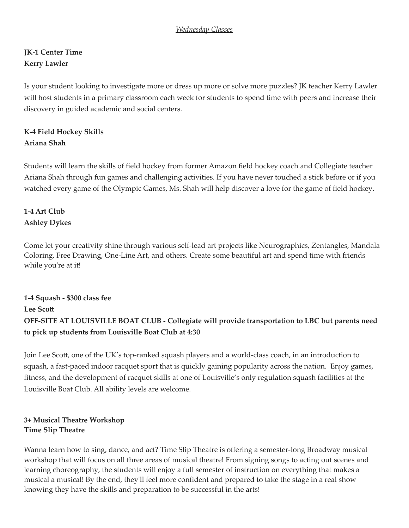## **JK-1 Center Time Kerry Lawler**

Is your student looking to investigate more or dress up more or solve more puzzles? JK teacher Kerry Lawler will host students in a primary classroom each week for students to spend time with peers and increase their discovery in guided academic and social centers.

# **K-4 Field Hockey Skills Ariana Shah**

Students will learn the skills of field hockey from former Amazon field hockey coach and Collegiate teacher Ariana Shah through fun games and challenging activities. If you have never touched a stick before or if you watched every game of the Olympic Games, Ms. Shah will help discover a love for the game of field hockey.

## **1-4 Art Club Ashley Dykes**

Come let your creativity shine through various self-lead art projects like Neurographics, Zentangles, Mandala Coloring, Free Drawing, One-Line Art, and others. Create some beautiful art and spend time with friends while you're at it!

## **1-4 Squash - \$300 class fee Lee Scott OFF-SITE AT LOUISVILLE BOAT CLUB - Collegiate will provide transportation to LBC but parents need to pick up students from Louisville Boat Club at 4:30**

Join Lee Scott, one of the UK's top-ranked squash players and a world-class coach, in an introduction to squash, a fast-paced indoor racquet sport that is quickly gaining popularity across the nation. Enjoy games, fitness, and the development of racquet skills at one of Louisville's only regulation squash facilities at the Louisville Boat Club. All ability levels are welcome.

#### **3+ Musical Theatre Workshop Time Slip Theatre**

Wanna learn how to sing, dance, and act? Time Slip Theatre is offering a semester-long Broadway musical workshop that will focus on all three areas of musical theatre! From signing songs to acting out scenes and learning choreography, the students will enjoy a full semester of instruction on everything that makes a musical a musical! By the end, they'll feel more confident and prepared to take the stage in a real show knowing they have the skills and preparation to be successful in the arts!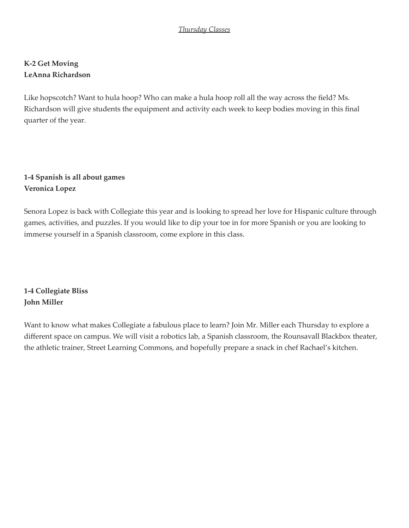#### *Thursday Classes*

### **K-2 Get Moving LeAnna Richardson**

Like hopscotch? Want to hula hoop? Who can make a hula hoop roll all the way across the field? Ms. Richardson will give students the equipment and activity each week to keep bodies moving in this final quarter of the year.

## **1-4 Spanish is all about games Veronica Lopez**

Senora Lopez is back with Collegiate this year and is looking to spread her love for Hispanic culture through games, activities, and puzzles. If you would like to dip your toe in for more Spanish or you are looking to immerse yourself in a Spanish classroom, come explore in this class.

**1-4 Collegiate Bliss John Miller**

Want to know what makes Collegiate a fabulous place to learn? Join Mr. Miller each Thursday to explore a different space on campus. We will visit a robotics lab, a Spanish classroom, the Rounsavall Blackbox theater, the athletic trainer, Street Learning Commons, and hopefully prepare a snack in chef Rachael's kitchen.